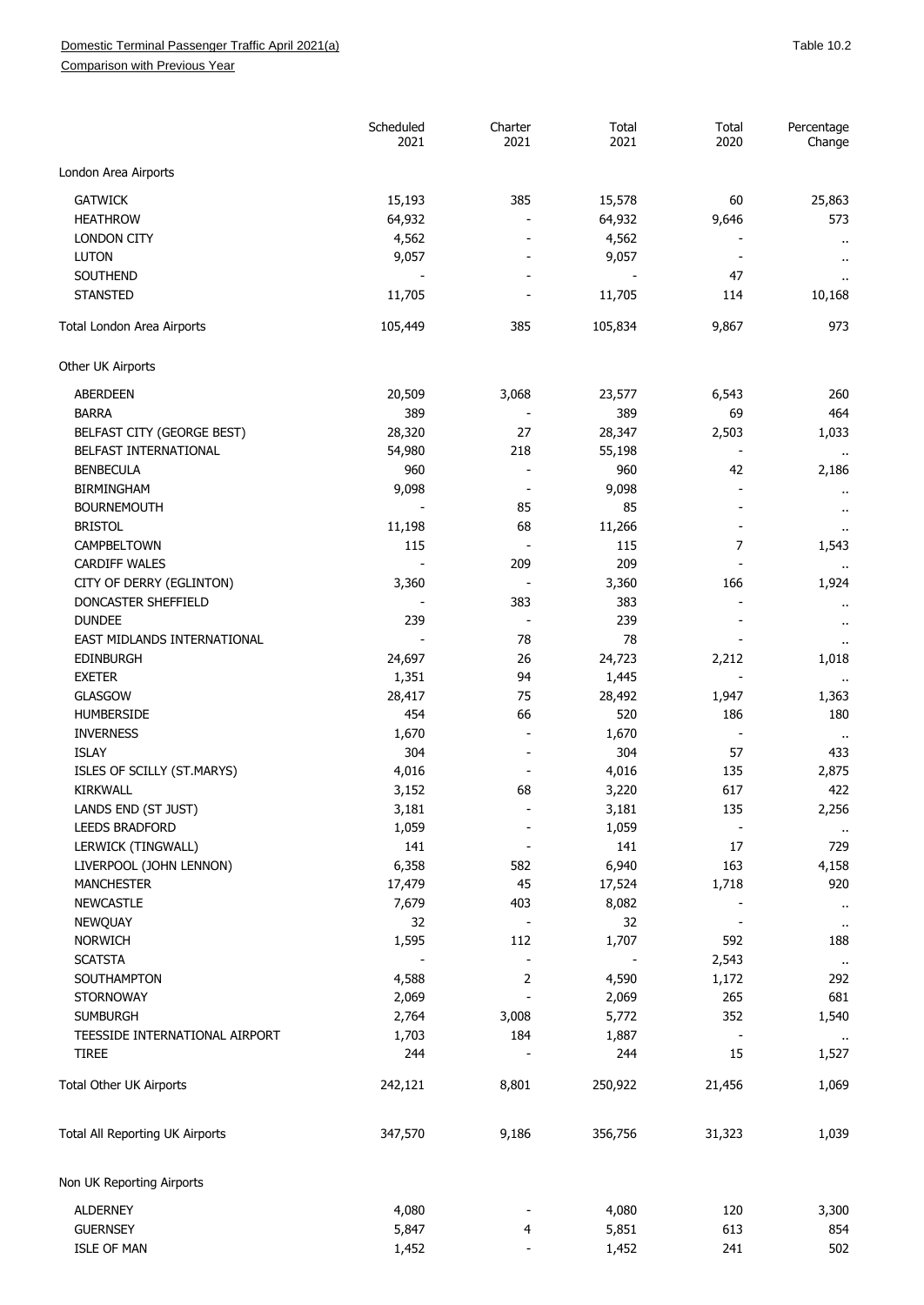## Domestic Terminal Passenger Traffic April 2021(a) and the control of the control of the control of the control of the 10.2

Comparison with Previous Year

|                                 | Scheduled<br>2021 | Charter<br>2021          | Total<br>2021 | Total<br>2020 | Percentage<br>Change           |
|---------------------------------|-------------------|--------------------------|---------------|---------------|--------------------------------|
| London Area Airports            |                   |                          |               |               |                                |
| <b>GATWICK</b>                  | 15,193            | 385                      | 15,578        | 60            | 25,863                         |
| <b>HEATHROW</b>                 | 64,932            |                          | 64,932        | 9,646         | 573                            |
| <b>LONDON CITY</b>              | 4,562             |                          | 4,562         |               |                                |
| <b>LUTON</b>                    | 9,057             |                          | 9,057         |               | $\cdot$ .                      |
| <b>SOUTHEND</b>                 |                   |                          |               | 47            | $\sim$                         |
| <b>STANSTED</b>                 | 11,705            |                          | 11,705        | 114           | $\ddot{\phantom{1}}$<br>10,168 |
|                                 |                   |                          |               |               |                                |
| Total London Area Airports      | 105,449           | 385                      | 105,834       | 9,867         | 973                            |
| Other UK Airports               |                   |                          |               |               |                                |
| <b>ABERDEEN</b>                 | 20,509            | 3,068                    | 23,577        | 6,543         | 260                            |
| <b>BARRA</b>                    | 389               |                          | 389           | 69            | 464                            |
| BELFAST CITY (GEORGE BEST)      | 28,320            | 27                       | 28,347        | 2,503         | 1,033                          |
| BELFAST INTERNATIONAL           | 54,980            | 218                      | 55,198        |               |                                |
| <b>BENBECULA</b>                | 960               |                          | 960           | 42            | 2,186                          |
| <b>BIRMINGHAM</b>               | 9,098             |                          | 9,098         |               | $\cdots$                       |
| <b>BOURNEMOUTH</b>              |                   | 85                       | 85            |               | $\cdots$                       |
| <b>BRISTOL</b>                  | 11,198            | 68                       | 11,266        |               |                                |
| CAMPBELTOWN                     | 115               |                          | 115           | 7             | 1,543                          |
| <b>CARDIFF WALES</b>            |                   | 209                      | 209           |               |                                |
| CITY OF DERRY (EGLINTON)        | 3,360             |                          | 3,360         | 166           | 1,924                          |
| DONCASTER SHEFFIELD             |                   | 383                      | 383           |               |                                |
| <b>DUNDEE</b>                   | 239               |                          | 239           |               | $\ddot{\phantom{1}}$           |
| EAST MIDLANDS INTERNATIONAL     |                   | 78                       | 78            |               | $\alpha$                       |
| <b>EDINBURGH</b>                | 24,697            | 26                       | 24,723        | 2,212         | 1,018                          |
| <b>EXETER</b>                   | 1,351             | 94                       | 1,445         |               |                                |
| GLASGOW                         | 28,417            | 75                       | 28,492        | 1,947         | 1,363                          |
| HUMBERSIDE                      | 454               | 66                       | 520           | 186           | 180                            |
|                                 |                   |                          |               |               |                                |
| <b>INVERNESS</b>                | 1,670             |                          | 1,670         |               | $\cdot$ .                      |
| <b>ISLAY</b>                    | 304               |                          | 304           | 57            | 433                            |
| ISLES OF SCILLY (ST.MARYS)      | 4,016             |                          | 4,016         | 135           | 2,875                          |
| <b>KIRKWALL</b>                 | 3,152             | 68                       | 3,220         | 617           | 422                            |
| LANDS END (ST JUST)             | 3,181             |                          | 3,181         | 135           | 2,256                          |
| <b>LEEDS BRADFORD</b>           | 1,059             |                          | 1,059         |               |                                |
| LERWICK (TINGWALL)              | 141               |                          | 141           | 17            | 729                            |
| LIVERPOOL (JOHN LENNON)         | 6,358             | 582                      | 6,940         | 163           | 4,158                          |
| <b>MANCHESTER</b>               | 17,479            | 45                       | 17,524        | 1,718         | 920                            |
| <b>NEWCASTLE</b>                | 7,679             | 403                      | 8,082         |               | $\mathbf{u}$                   |
| NEWQUAY                         | 32                |                          | 32            |               | $\bullet$                      |
| <b>NORWICH</b>                  | 1,595             | 112                      | 1,707         | 592           | 188                            |
| <b>SCATSTA</b>                  |                   |                          |               | 2,543         | $\sim$                         |
| SOUTHAMPTON                     | 4,588             | $\overline{2}$           | 4,590         | 1,172         | 292                            |
| <b>STORNOWAY</b>                | 2,069             |                          | 2,069         | 265           | 681                            |
| <b>SUMBURGH</b>                 | 2,764             | 3,008                    | 5,772         | 352           | 1,540                          |
| TEESSIDE INTERNATIONAL AIRPORT  | 1,703             | 184                      | 1,887         |               |                                |
| <b>TIREE</b>                    | 244               |                          | 244           | 15            | 1,527                          |
| Total Other UK Airports         | 242,121           | 8,801                    | 250,922       | 21,456        | 1,069                          |
| Total All Reporting UK Airports | 347,570           | 9,186                    | 356,756       | 31,323        | 1,039                          |
| Non UK Reporting Airports       |                   |                          |               |               |                                |
| <b>ALDERNEY</b>                 | 4,080             |                          | 4,080         | 120           | 3,300                          |
| <b>GUERNSEY</b>                 | 5,847             | 4                        | 5,851         | 613           | 854                            |
| <b>ISLE OF MAN</b>              | 1,452             | $\overline{\phantom{m}}$ | 1,452         | 241           | 502                            |
|                                 |                   |                          |               |               |                                |